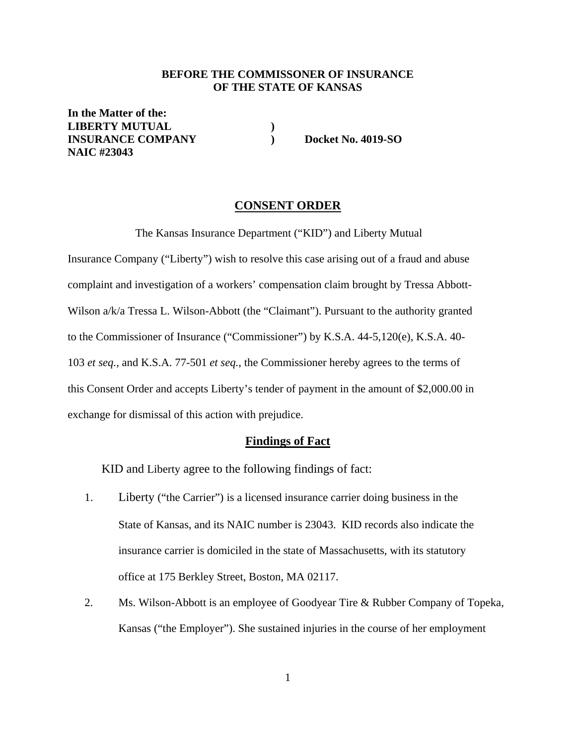#### **BEFORE THE COMMISSONER OF INSURANCE OF THE STATE OF KANSAS**

**In the Matter of the: LIBERTY MUTUAL** ()<br> **INSURANCE COMPANY INSURANCE COMPANY ) Docket No. 4019-SO NAIC #23043** 

#### **CONSENT ORDER**

The Kansas Insurance Department ("KID") and Liberty Mutual

Insurance Company ("Liberty") wish to resolve this case arising out of a fraud and abuse complaint and investigation of a workers' compensation claim brought by Tressa Abbott-Wilson a/k/a Tressa L. Wilson-Abbott (the "Claimant"). Pursuant to the authority granted to the Commissioner of Insurance ("Commissioner") by K.S.A. 44-5,120(e), K.S.A. 40- 103 *et seq.,* and K.S.A. 77-501 *et seq.*, the Commissioner hereby agrees to the terms of this Consent Order and accepts Liberty's tender of payment in the amount of \$2,000.00 in exchange for dismissal of this action with prejudice.

#### **Findings of Fact**

KID and Liberty agree to the following findings of fact:

- 1. Liberty ("the Carrier") is a licensed insurance carrier doing business in the State of Kansas, and its NAIC number is 23043. KID records also indicate the insurance carrier is domiciled in the state of Massachusetts, with its statutory office at 175 Berkley Street, Boston, MA 02117.
- 2. Ms. Wilson-Abbott is an employee of Goodyear Tire & Rubber Company of Topeka, Kansas ("the Employer"). She sustained injuries in the course of her employment

1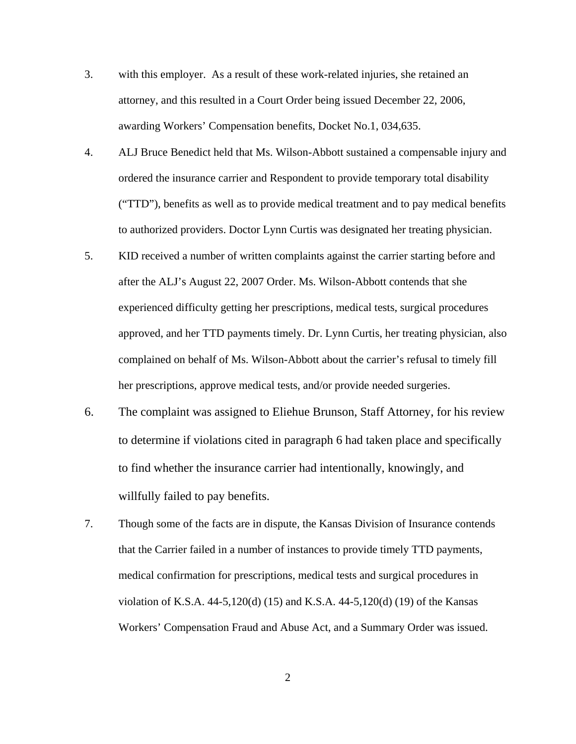- 3. with this employer. As a result of these work-related injuries, she retained an attorney, and this resulted in a Court Order being issued December 22, 2006, awarding Workers' Compensation benefits, Docket No.1, 034,635.
- 4. ALJ Bruce Benedict held that Ms. Wilson-Abbott sustained a compensable injury and ordered the insurance carrier and Respondent to provide temporary total disability ("TTD"), benefits as well as to provide medical treatment and to pay medical benefits to authorized providers. Doctor Lynn Curtis was designated her treating physician.
- 5. KID received a number of written complaints against the carrier starting before and after the ALJ's August 22, 2007 Order. Ms. Wilson-Abbott contends that she experienced difficulty getting her prescriptions, medical tests, surgical procedures approved, and her TTD payments timely. Dr. Lynn Curtis, her treating physician, also complained on behalf of Ms. Wilson-Abbott about the carrier's refusal to timely fill her prescriptions, approve medical tests, and/or provide needed surgeries.
- 6. The complaint was assigned to Eliehue Brunson, Staff Attorney, for his review to determine if violations cited in paragraph 6 had taken place and specifically to find whether the insurance carrier had intentionally, knowingly, and willfully failed to pay benefits.
- 7. Though some of the facts are in dispute, the Kansas Division of Insurance contends that the Carrier failed in a number of instances to provide timely TTD payments, medical confirmation for prescriptions, medical tests and surgical procedures in violation of K.S.A. 44-5,120(d) (15) and K.S.A. 44-5,120(d) (19) of the Kansas Workers' Compensation Fraud and Abuse Act, and a Summary Order was issued.

2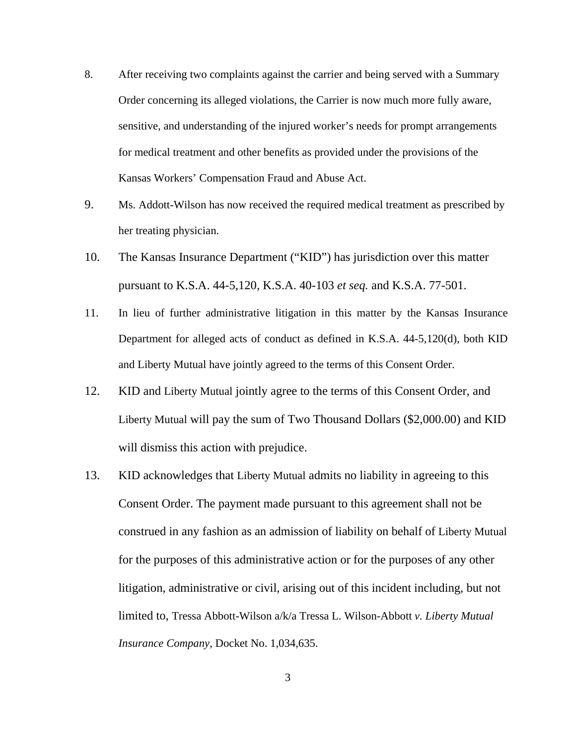- 8. After receiving two complaints against the carrier and being served with a Summary Order concerning its alleged violations, the Carrier is now much more fully aware, sensitive, and understanding of the injured worker's needs for prompt arrangements for medical treatment and other benefits as provided under the provisions of the Kansas Workers' Compensation Fraud and Abuse Act.
- 9. Ms. Addott-Wilson has now received the required medical treatment as prescribed by her treating physician.
- 10. The Kansas Insurance Department ("KID") has jurisdiction over this matter pursuant to K.S.A. 44-5,120, K.S.A. 40-103 *et seq.* and K.S.A. 77-501.
- 11. In lieu of further administrative litigation in this matter by the Kansas Insurance Department for alleged acts of conduct as defined in K.S.A. 44-5,120(d), both KID and Liberty Mutual have jointly agreed to the terms of this Consent Order.
- 12. KID and Liberty Mutual jointly agree to the terms of this Consent Order, and Liberty Mutual will pay the sum of Two Thousand Dollars (\$2,000.00) and KID will dismiss this action with prejudice.
- 13. KID acknowledges that Liberty Mutual admits no liability in agreeing to this Consent Order. The payment made pursuant to this agreement shall not be construed in any fashion as an admission of liability on behalf of Liberty Mutual for the purposes of this administrative action or for the purposes of any other litigation, administrative or civil, arising out of this incident including, but not limited to, Tressa Abbott-Wilson a/k/a Tressa L. Wilson-Abbott *v. Liberty Mutual Insurance Company*, Docket No. 1,034,635.

3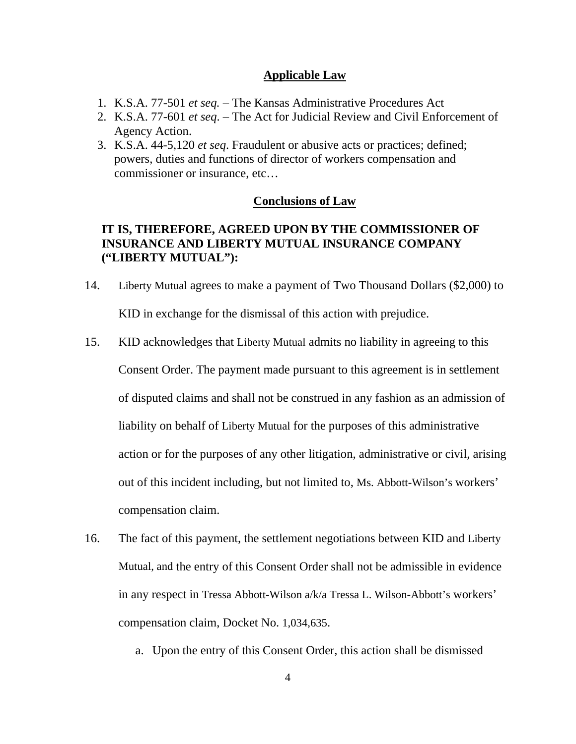### **Applicable Law**

- 1. K.S.A. 77-501 *et seq.*  The Kansas Administrative Procedures Act
- 2. K.S.A. 77-601 *et seq*. The Act for Judicial Review and Civil Enforcement of Agency Action.
- 3. K.S.A. 44-5,120 *et seq*. Fraudulent or abusive acts or practices; defined; powers, duties and functions of director of workers compensation and commissioner or insurance, etc…

#### **Conclusions of Law**

# **IT IS, THEREFORE, AGREED UPON BY THE COMMISSIONER OF INSURANCE AND LIBERTY MUTUAL INSURANCE COMPANY ("LIBERTY MUTUAL"):**

- 14. Liberty Mutual agrees to make a payment of Two Thousand Dollars (\$2,000) to KID in exchange for the dismissal of this action with prejudice.
- 15. KID acknowledges that Liberty Mutual admits no liability in agreeing to this Consent Order. The payment made pursuant to this agreement is in settlement of disputed claims and shall not be construed in any fashion as an admission of liability on behalf of Liberty Mutual for the purposes of this administrative action or for the purposes of any other litigation, administrative or civil, arising out of this incident including, but not limited to, Ms. Abbott-Wilson's workers' compensation claim.
- 16. The fact of this payment, the settlement negotiations between KID and Liberty Mutual, and the entry of this Consent Order shall not be admissible in evidence in any respect in Tressa Abbott-Wilson a/k/a Tressa L. Wilson-Abbott's workers' compensation claim, Docket No. 1,034,635.
	- a. Upon the entry of this Consent Order, this action shall be dismissed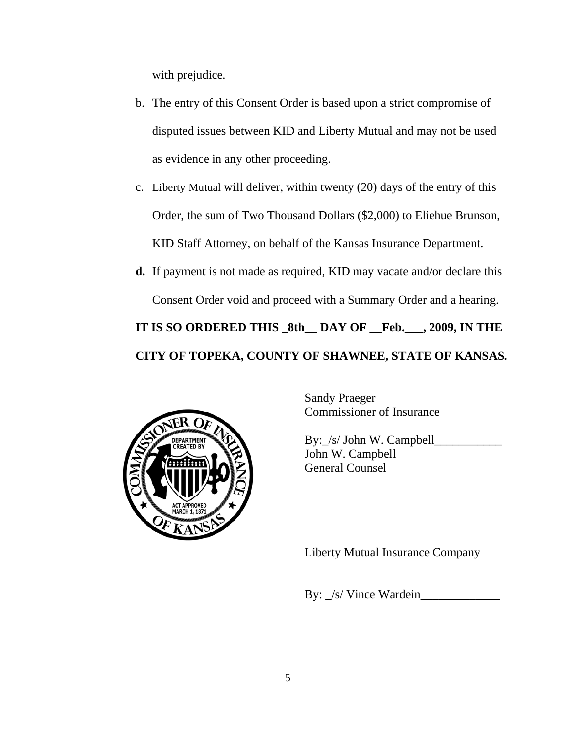with prejudice.

- b. The entry of this Consent Order is based upon a strict compromise of disputed issues between KID and Liberty Mutual and may not be used as evidence in any other proceeding.
- c. Liberty Mutual will deliver, within twenty (20) days of the entry of this Order, the sum of Two Thousand Dollars (\$2,000) to Eliehue Brunson, KID Staff Attorney, on behalf of the Kansas Insurance Department.
- **d.** If payment is not made as required, KID may vacate and/or declare this Consent Order void and proceed with a Summary Order and a hearing.

# **IT IS SO ORDERED THIS \_8th\_\_ DAY OF \_\_Feb.\_\_\_, 2009, IN THE CITY OF TOPEKA, COUNTY OF SHAWNEE, STATE OF KANSAS.**



Sandy Praeger Commissioner of Insurance

By: /s/ John W. Campbell John W. Campbell General Counsel

Liberty Mutual Insurance Company

By:  $/s/$  Vince Wardein